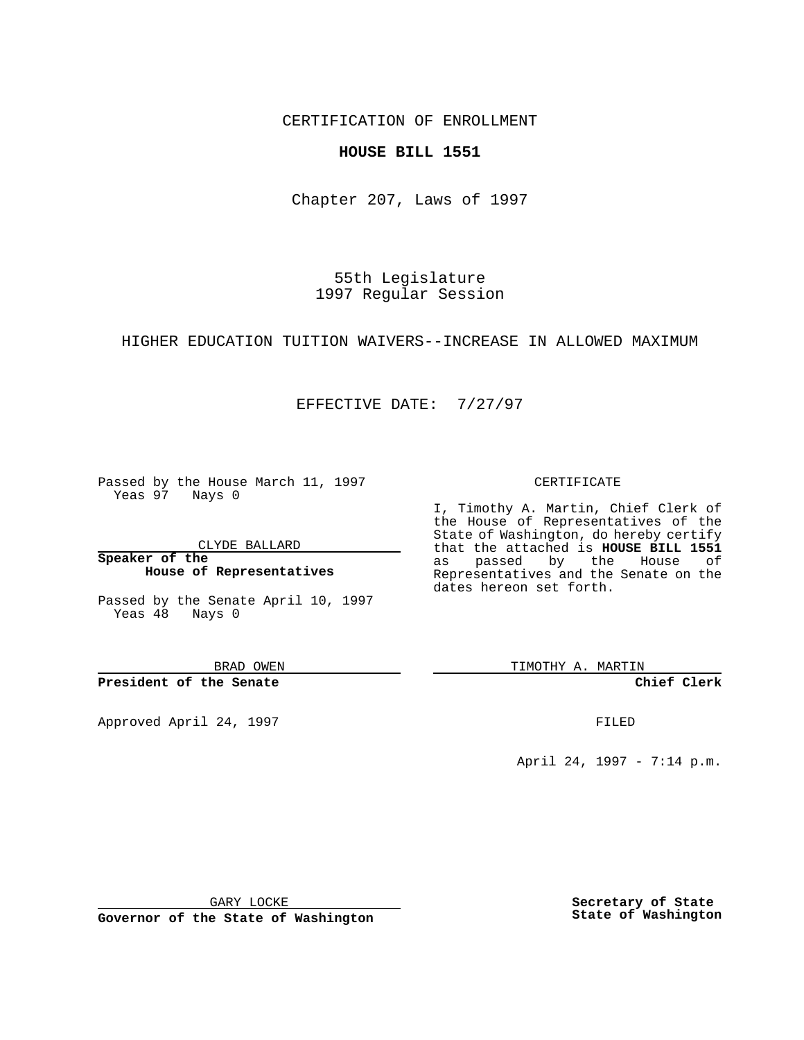CERTIFICATION OF ENROLLMENT

### **HOUSE BILL 1551**

Chapter 207, Laws of 1997

55th Legislature 1997 Regular Session

HIGHER EDUCATION TUITION WAIVERS--INCREASE IN ALLOWED MAXIMUM

## EFFECTIVE DATE: 7/27/97

Passed by the House March 11, 1997 Yeas 97 Nays 0

CLYDE BALLARD

**Speaker of the House of Representatives**

Passed by the Senate April 10, 1997 Yeas 48 Nays 0

BRAD OWEN

**President of the Senate**

Approved April 24, 1997 **FILED** 

#### CERTIFICATE

I, Timothy A. Martin, Chief Clerk of the House of Representatives of the State of Washington, do hereby certify that the attached is **HOUSE BILL 1551** as passed by the House of Representatives and the Senate on the dates hereon set forth.

TIMOTHY A. MARTIN

**Chief Clerk**

April 24, 1997 - 7:14 p.m.

GARY LOCKE

**Governor of the State of Washington**

**Secretary of State State of Washington**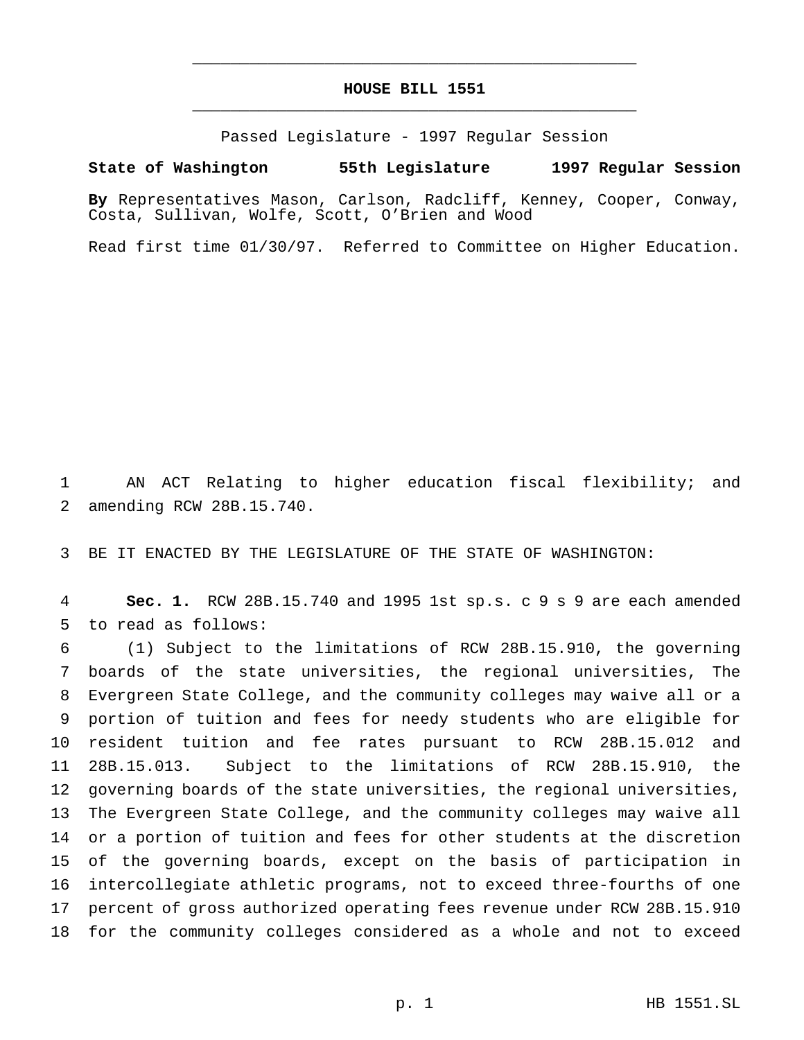# **HOUSE BILL 1551** \_\_\_\_\_\_\_\_\_\_\_\_\_\_\_\_\_\_\_\_\_\_\_\_\_\_\_\_\_\_\_\_\_\_\_\_\_\_\_\_\_\_\_\_\_\_\_

\_\_\_\_\_\_\_\_\_\_\_\_\_\_\_\_\_\_\_\_\_\_\_\_\_\_\_\_\_\_\_\_\_\_\_\_\_\_\_\_\_\_\_\_\_\_\_

Passed Legislature - 1997 Regular Session

#### **State of Washington 55th Legislature 1997 Regular Session**

**By** Representatives Mason, Carlson, Radcliff, Kenney, Cooper, Conway, Costa, Sullivan, Wolfe, Scott, O'Brien and Wood

Read first time 01/30/97. Referred to Committee on Higher Education.

 AN ACT Relating to higher education fiscal flexibility; and amending RCW 28B.15.740.

BE IT ENACTED BY THE LEGISLATURE OF THE STATE OF WASHINGTON:

 **Sec. 1.** RCW 28B.15.740 and 1995 1st sp.s. c 9 s 9 are each amended to read as follows:

 (1) Subject to the limitations of RCW 28B.15.910, the governing boards of the state universities, the regional universities, The Evergreen State College, and the community colleges may waive all or a portion of tuition and fees for needy students who are eligible for resident tuition and fee rates pursuant to RCW 28B.15.012 and 28B.15.013. Subject to the limitations of RCW 28B.15.910, the governing boards of the state universities, the regional universities, The Evergreen State College, and the community colleges may waive all or a portion of tuition and fees for other students at the discretion of the governing boards, except on the basis of participation in intercollegiate athletic programs, not to exceed three-fourths of one percent of gross authorized operating fees revenue under RCW 28B.15.910 for the community colleges considered as a whole and not to exceed